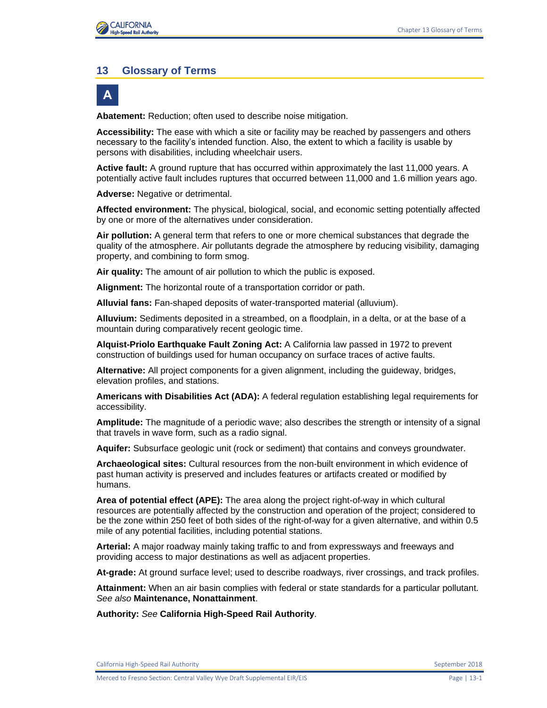#### **13 Glossary of Terms**



**Abatement:** Reduction; often used to describe noise mitigation.

**Accessibility:** The ease with which a site or facility may be reached by passengers and others necessary to the facility's intended function. Also, the extent to which a facility is usable by persons with disabilities, including wheelchair users.

**Active fault:** A ground rupture that has occurred within approximately the last 11,000 years. A potentially active fault includes ruptures that occurred between 11,000 and 1.6 million years ago.

**Adverse:** Negative or detrimental.

**Affected environment:** The physical, biological, social, and economic setting potentially affected by one or more of the alternatives under consideration.

**Air pollution:** A general term that refers to one or more chemical substances that degrade the quality of the atmosphere. Air pollutants degrade the atmosphere by reducing visibility, damaging property, and combining to form smog.

**Air quality:** The amount of air pollution to which the public is exposed.

**Alignment:** The horizontal route of a transportation corridor or path.

**Alluvial fans:** Fan-shaped deposits of water-transported material (alluvium).

**Alluvium:** Sediments deposited in a streambed, on a floodplain, in a delta, or at the base of a mountain during comparatively recent geologic time.

**Alquist-Priolo Earthquake Fault Zoning Act:** A California law passed in 1972 to prevent construction of buildings used for human occupancy on surface traces of active faults.

**Alternative:** All project components for a given alignment, including the guideway, bridges, elevation profiles, and stations.

**Americans with Disabilities Act (ADA):** A federal regulation establishing legal requirements for accessibility.

**Amplitude:** The magnitude of a periodic wave; also describes the strength or intensity of a signal that travels in wave form, such as a radio signal.

**Aquifer:** Subsurface geologic unit (rock or sediment) that contains and conveys groundwater.

**Archaeological sites:** Cultural resources from the non-built environment in which evidence of past human activity is preserved and includes features or artifacts created or modified by humans.

**Area of potential effect (APE):** The area along the project right-of-way in which cultural resources are potentially affected by the construction and operation of the project; considered to be the zone within 250 feet of both sides of the right-of-way for a given alternative, and within 0.5 mile of any potential facilities, including potential stations.

**Arterial:** A major roadway mainly taking traffic to and from expressways and freeways and providing access to major destinations as well as adjacent properties.

**At-grade:** At ground surface level; used to describe roadways, river crossings, and track profiles.

**Attainment:** When an air basin complies with federal or state standards for a particular pollutant. *See also* **Maintenance, Nonattainment**.

**Authority:** *See* **California High-Speed Rail Authority**.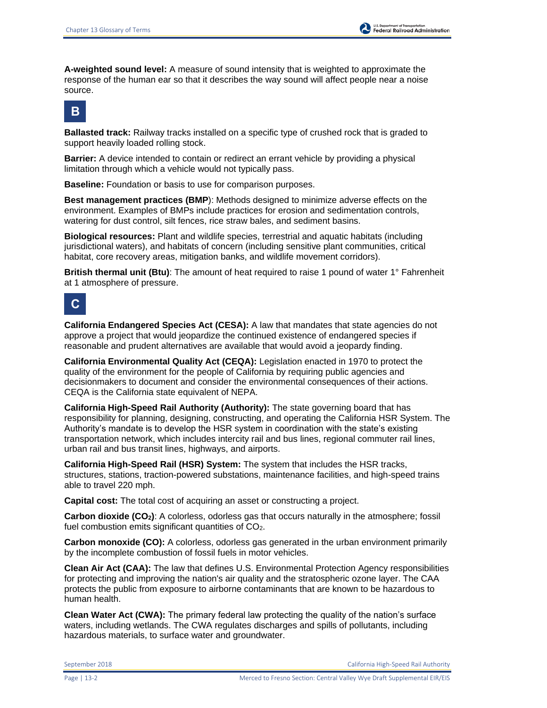**A-weighted sound level:** A measure of sound intensity that is weighted to approximate the response of the human ear so that it describes the way sound will affect people near a noise source.



**Ballasted track:** Railway tracks installed on a specific type of crushed rock that is graded to support heavily loaded rolling stock.

**Barrier:** A device intended to contain or redirect an errant vehicle by providing a physical limitation through which a vehicle would not typically pass.

**Baseline:** Foundation or basis to use for comparison purposes.

**Best management practices (BMP**): Methods designed to minimize adverse effects on the environment. Examples of BMPs include practices for erosion and sedimentation controls, watering for dust control, silt fences, rice straw bales, and sediment basins.

**Biological resources:** Plant and wildlife species, terrestrial and aquatic habitats (including jurisdictional waters), and habitats of concern (including sensitive plant communities, critical habitat, core recovery areas, mitigation banks, and wildlife movement corridors).

**British thermal unit (Btu)**: The amount of heat required to raise 1 pound of water 1° Fahrenheit at 1 atmosphere of pressure.



**California Endangered Species Act (CESA):** A law that mandates that state agencies do not approve a project that would jeopardize the continued existence of endangered species if reasonable and prudent alternatives are available that would avoid a jeopardy finding.

**California Environmental Quality Act (CEQA):** Legislation enacted in 1970 to protect the quality of the environment for the people of California by requiring public agencies and decisionmakers to document and consider the environmental consequences of their actions. CEQA is the California state equivalent of NEPA.

**California High-Speed Rail Authority (Authority):** The state governing board that has responsibility for planning, designing, constructing, and operating the California HSR System. The Authority's mandate is to develop the HSR system in coordination with the state's existing transportation network, which includes intercity rail and bus lines, regional commuter rail lines, urban rail and bus transit lines, highways, and airports.

**California High-Speed Rail (HSR) System:** The system that includes the HSR tracks, structures, stations, traction-powered substations, maintenance facilities, and high-speed trains able to travel 220 mph.

**Capital cost:** The total cost of acquiring an asset or constructing a project.

**Carbon dioxide (CO2)**: A colorless, odorless gas that occurs naturally in the atmosphere; fossil fuel combustion emits significant quantities of CO2.

**Carbon monoxide (CO):** A colorless, odorless gas generated in the urban environment primarily by the incomplete combustion of fossil fuels in motor vehicles.

**Clean Air Act (CAA):** The law that defines U.S. Environmental Protection Agency responsibilities for protecting and improving the nation's air quality and the stratospheric ozone layer. The CAA protects the public from exposure to airborne contaminants that are known to be hazardous to human health.

**Clean Water Act (CWA):** The primary federal law protecting the quality of the nation's surface waters, including wetlands. The CWA regulates discharges and spills of pollutants, including hazardous materials, to surface water and groundwater.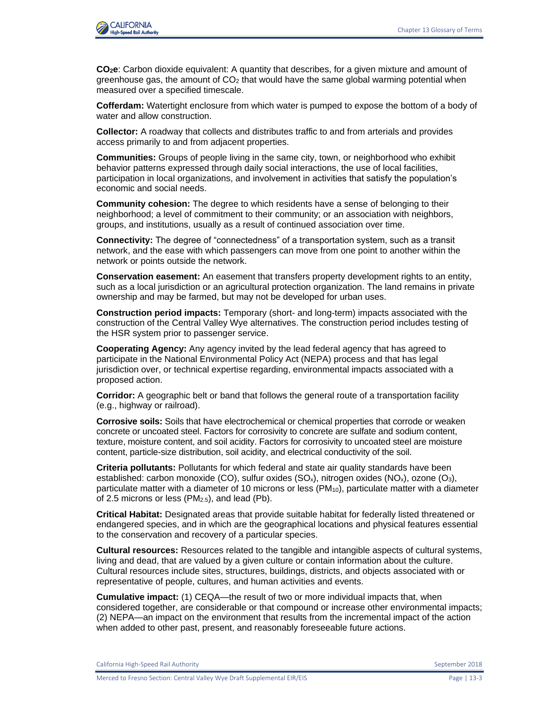

**CO2e**: Carbon dioxide equivalent: A quantity that describes, for a given mixture and amount of greenhouse gas, the amount of  $CO<sub>2</sub>$  that would have the same global warming potential when measured over a specified timescale.

**Cofferdam:** Watertight enclosure from which water is pumped to expose the bottom of a body of water and allow construction.

**Collector:** A roadway that collects and distributes traffic to and from arterials and provides access primarily to and from adjacent properties.

**Communities:** Groups of people living in the same city, town, or neighborhood who exhibit behavior patterns expressed through daily social interactions, the use of local facilities, participation in local organizations, and involvement in activities that satisfy the population's economic and social needs.

**Community cohesion:** The degree to which residents have a sense of belonging to their neighborhood; a level of commitment to their community; or an association with neighbors, groups, and institutions, usually as a result of continued association over time.

**Connectivity:** The degree of "connectedness" of a transportation system, such as a transit network, and the ease with which passengers can move from one point to another within the network or points outside the network.

**Conservation easement:** An easement that transfers property development rights to an entity, such as a local jurisdiction or an agricultural protection organization. The land remains in private ownership and may be farmed, but may not be developed for urban uses.

**Construction period impacts:** Temporary (short- and long-term) impacts associated with the construction of the Central Valley Wye alternatives. The construction period includes testing of the HSR system prior to passenger service.

**Cooperating Agency:** Any agency invited by the lead federal agency that has agreed to participate in the National Environmental Policy Act (NEPA) process and that has legal jurisdiction over, or technical expertise regarding, environmental impacts associated with a proposed action.

**Corridor:** A geographic belt or band that follows the general route of a transportation facility (e.g., highway or railroad).

**Corrosive soils:** Soils that have electrochemical or chemical properties that corrode or weaken concrete or uncoated steel. Factors for corrosivity to concrete are sulfate and sodium content, texture, moisture content, and soil acidity. Factors for corrosivity to uncoated steel are moisture content, particle-size distribution, soil acidity, and electrical conductivity of the soil.

**Criteria pollutants:** Pollutants for which federal and state air quality standards have been established: carbon monoxide (CO), sulfur oxides  $(SO_x)$ , nitrogen oxides  $(NO_x)$ , ozone  $(O_3)$ , particulate matter with a diameter of 10 microns or less  $(PM_{10})$ , particulate matter with a diameter of 2.5 microns or less (PM2.5), and lead (Pb).

**Critical Habitat:** Designated areas that provide suitable habitat for federally listed threatened or endangered species, and in which are the geographical locations and physical features essential to the conservation and recovery of a particular species.

**Cultural resources:** Resources related to the tangible and intangible aspects of cultural systems, living and dead, that are valued by a given culture or contain information about the culture. Cultural resources include sites, structures, buildings, districts, and objects associated with or representative of people, cultures, and human activities and events.

**Cumulative impact:** (1) CEQA—the result of two or more individual impacts that, when considered together, are considerable or that compound or increase other environmental impacts; (2) NEPA—an impact on the environment that results from the incremental impact of the action when added to other past, present, and reasonably foreseeable future actions.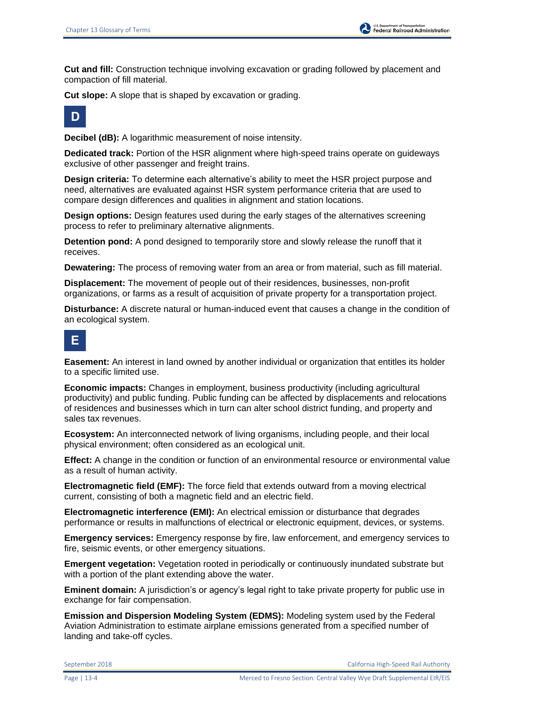

**Cut and fill:** Construction technique involving excavation or grading followed by placement and compaction of fill material.

**Cut slope:** A slope that is shaped by excavation or grading.



**Decibel (dB):** A logarithmic measurement of noise intensity.

**Dedicated track:** Portion of the HSR alignment where high-speed trains operate on guideways exclusive of other passenger and freight trains.

**Design criteria:** To determine each alternative's ability to meet the HSR project purpose and need, alternatives are evaluated against HSR system performance criteria that are used to compare design differences and qualities in alignment and station locations.

**Design options:** Design features used during the early stages of the alternatives screening process to refer to preliminary alternative alignments.

**Detention pond:** A pond designed to temporarily store and slowly release the runoff that it receives.

**Dewatering:** The process of removing water from an area or from material, such as fill material.

**Displacement:** The movement of people out of their residences, businesses, non-profit organizations, or farms as a result of acquisition of private property for a transportation project.

**Disturbance:** A discrete natural or human-induced event that causes a change in the condition of an ecological system.



**Easement:** An interest in land owned by another individual or organization that entitles its holder to a specific limited use.

**Economic impacts:** Changes in employment, business productivity (including agricultural productivity) and public funding. Public funding can be affected by displacements and relocations of residences and businesses which in turn can alter school district funding, and property and sales tax revenues.

**Ecosystem:** An interconnected network of living organisms, including people, and their local physical environment; often considered as an ecological unit.

**Effect:** A change in the condition or function of an environmental resource or environmental value as a result of human activity.

**Electromagnetic field (EMF):** The force field that extends outward from a moving electrical current, consisting of both a magnetic field and an electric field.

**Electromagnetic interference (EMI):** An electrical emission or disturbance that degrades performance or results in malfunctions of electrical or electronic equipment, devices, or systems.

**Emergency services:** Emergency response by fire, law enforcement, and emergency services to fire, seismic events, or other emergency situations.

**Emergent vegetation:** Vegetation rooted in periodically or continuously inundated substrate but with a portion of the plant extending above the water.

**Eminent domain:** A jurisdiction's or agency's legal right to take private property for public use in exchange for fair compensation.

**Emission and Dispersion Modeling System (EDMS):** Modeling system used by the Federal Aviation Administration to estimate airplane emissions generated from a specified number of landing and take-off cycles.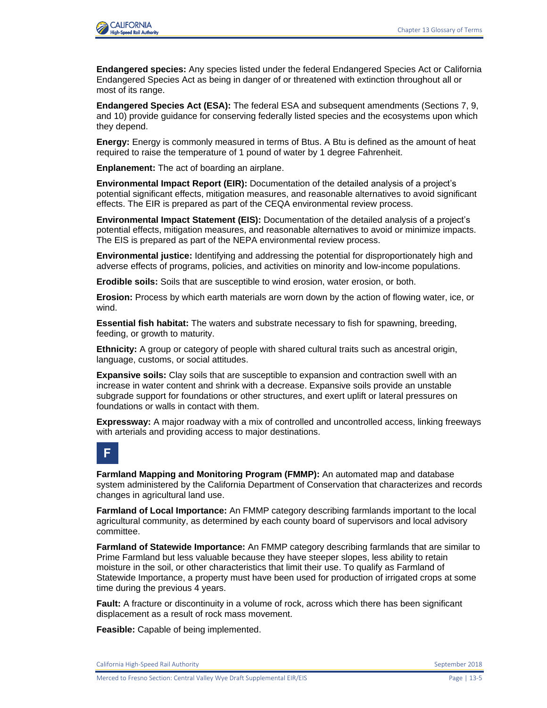

**Endangered species:** Any species listed under the federal Endangered Species Act or California Endangered Species Act as being in danger of or threatened with extinction throughout all or most of its range.

**Endangered Species Act (ESA):** The federal ESA and subsequent amendments (Sections 7, 9, and 10) provide guidance for conserving federally listed species and the ecosystems upon which they depend.

**Energy:** Energy is commonly measured in terms of Btus. A Btu is defined as the amount of heat required to raise the temperature of 1 pound of water by 1 degree Fahrenheit.

**Enplanement:** The act of boarding an airplane.

**Environmental Impact Report (EIR):** Documentation of the detailed analysis of a project's potential significant effects, mitigation measures, and reasonable alternatives to avoid significant effects. The EIR is prepared as part of the CEQA environmental review process.

**Environmental Impact Statement (EIS):** Documentation of the detailed analysis of a project's potential effects, mitigation measures, and reasonable alternatives to avoid or minimize impacts. The EIS is prepared as part of the NEPA environmental review process.

**Environmental justice:** Identifying and addressing the potential for disproportionately high and adverse effects of programs, policies, and activities on minority and low-income populations.

**Erodible soils:** Soils that are susceptible to wind erosion, water erosion, or both.

**Erosion:** Process by which earth materials are worn down by the action of flowing water, ice, or wind.

**Essential fish habitat:** The waters and substrate necessary to fish for spawning, breeding, feeding, or growth to maturity.

**Ethnicity:** A group or category of people with shared cultural traits such as ancestral origin, language, customs, or social attitudes.

**Expansive soils:** Clay soils that are susceptible to expansion and contraction swell with an increase in water content and shrink with a decrease. Expansive soils provide an unstable subgrade support for foundations or other structures, and exert uplift or lateral pressures on foundations or walls in contact with them.

**Expressway:** A major roadway with a mix of controlled and uncontrolled access, linking freeways with arterials and providing access to major destinations.

#### **F**

**Farmland Mapping and Monitoring Program (FMMP):** An automated map and database system administered by the California Department of Conservation that characterizes and records changes in agricultural land use.

**Farmland of Local Importance:** An FMMP category describing farmlands important to the local agricultural community, as determined by each county board of supervisors and local advisory committee.

**Farmland of Statewide Importance:** An FMMP category describing farmlands that are similar to Prime Farmland but less valuable because they have steeper slopes, less ability to retain moisture in the soil, or other characteristics that limit their use. To qualify as Farmland of Statewide Importance, a property must have been used for production of irrigated crops at some time during the previous 4 years.

**Fault:** A fracture or discontinuity in a volume of rock, across which there has been significant displacement as a result of rock mass movement.

**Feasible:** Capable of being implemented.

California High-Speed Rail Authority September 2018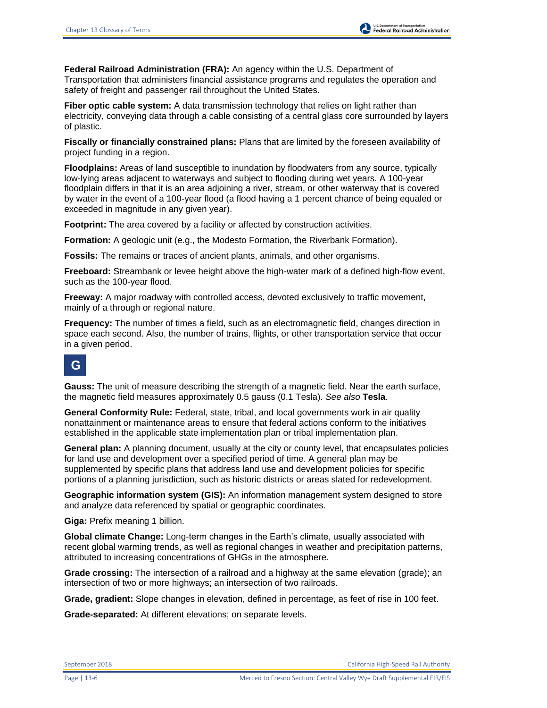**Fiber optic cable system:** A data transmission technology that relies on light rather than electricity, conveying data through a cable consisting of a central glass core surrounded by layers of plastic.

**Fiscally or financially constrained plans:** Plans that are limited by the foreseen availability of project funding in a region.

**Floodplains:** Areas of land susceptible to inundation by floodwaters from any source, typically low-lying areas adjacent to waterways and subject to flooding during wet years. A 100-year floodplain differs in that it is an area adjoining a river, stream, or other waterway that is covered by water in the event of a 100-year flood (a flood having a 1 percent chance of being equaled or exceeded in magnitude in any given year).

**Footprint:** The area covered by a facility or affected by construction activities.

**Formation:** A geologic unit (e.g., the Modesto Formation, the Riverbank Formation).

**Fossils:** The remains or traces of ancient plants, animals, and other organisms.

**Freeboard:** Streambank or levee height above the high-water mark of a defined high-flow event, such as the 100-year flood.

**Freeway:** A major roadway with controlled access, devoted exclusively to traffic movement, mainly of a through or regional nature.

**Frequency:** The number of times a field, such as an electromagnetic field, changes direction in space each second. Also, the number of trains, flights, or other transportation service that occur in a given period.

## **G**

**Gauss:** The unit of measure describing the strength of a magnetic field. Near the earth surface, the magnetic field measures approximately 0.5 gauss (0.1 Tesla). *See also* **Tesla**.

**General Conformity Rule:** Federal, state, tribal, and local governments work in air quality nonattainment or maintenance areas to ensure that federal actions conform to the initiatives established in the applicable state implementation plan or tribal implementation plan.

**General plan:** A planning document, usually at the city or county level, that encapsulates policies for land use and development over a specified period of time. A general plan may be supplemented by specific plans that address land use and development policies for specific portions of a planning jurisdiction, such as historic districts or areas slated for redevelopment.

**Geographic information system (GIS):** An information management system designed to store and analyze data referenced by spatial or geographic coordinates.

**Giga:** Prefix meaning 1 billion.

**Global climate Change:** Long-term changes in the Earth's climate, usually associated with recent global warming trends, as well as regional changes in weather and precipitation patterns, attributed to increasing concentrations of GHGs in the atmosphere.

**Grade crossing:** The intersection of a railroad and a highway at the same elevation (grade); an intersection of two or more highways; an intersection of two railroads.

**Grade, gradient:** Slope changes in elevation, defined in percentage, as feet of rise in 100 feet.

**Grade-separated:** At different elevations; on separate levels.

U.S. Department of Transportation<br>Federal Railroad Administration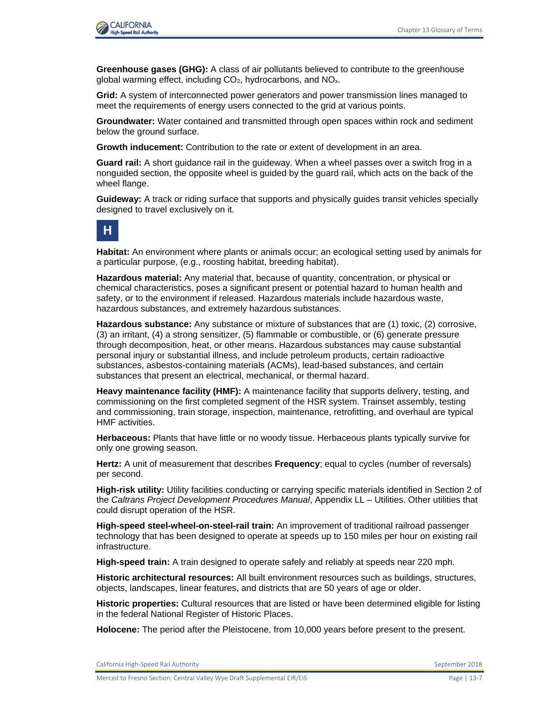

**Greenhouse gases (GHG):** A class of air pollutants believed to contribute to the greenhouse global warming effect, including  $CO<sub>2</sub>$ , hydrocarbons, and  $NO<sub>x</sub>$ .

**Grid:** A system of interconnected power generators and power transmission lines managed to meet the requirements of energy users connected to the grid at various points.

**Groundwater:** Water contained and transmitted through open spaces within rock and sediment below the ground surface.

**Growth inducement:** Contribution to the rate or extent of development in an area.

**Guard rail:** A short guidance rail in the guideway. When a wheel passes over a switch frog in a nonguided section, the opposite wheel is guided by the guard rail, which acts on the back of the wheel flange.

**Guideway:** A track or riding surface that supports and physically guides transit vehicles specially designed to travel exclusively on it.



**Habitat:** An environment where plants or animals occur; an ecological setting used by animals for a particular purpose, (e.g., roosting habitat, breeding habitat).

**Hazardous material:** Any material that, because of quantity, concentration, or physical or chemical characteristics, poses a significant present or potential hazard to human health and safety, or to the environment if released. Hazardous materials include hazardous waste, hazardous substances, and extremely hazardous substances.

**Hazardous substance:** Any substance or mixture of substances that are (1) toxic, (2) corrosive, (3) an irritant, (4) a strong sensitizer, (5) flammable or combustible, or (6) generate pressure through decomposition, heat, or other means. Hazardous substances may cause substantial personal injury or substantial illness, and include petroleum products, certain radioactive substances, asbestos-containing materials (ACMs), lead-based substances, and certain substances that present an electrical, mechanical, or thermal hazard.

**Heavy maintenance facility (HMF):** A maintenance facility that supports delivery, testing, and commissioning on the first completed segment of the HSR system. Trainset assembly, testing and commissioning, train storage, inspection, maintenance, retrofitting, and overhaul are typical HMF activities.

**Herbaceous:** Plants that have little or no woody tissue. Herbaceous plants typically survive for only one growing season.

**Hertz:** A unit of measurement that describes **Frequency**; equal to cycles (number of reversals) per second.

**High-risk utility:** Utility facilities conducting or carrying specific materials identified in Section 2 of the *Caltrans Project Development Procedures Manual*, Appendix LL – Utilities. Other utilities that could disrupt operation of the HSR.

**High-speed steel-wheel-on-steel-rail train:** An improvement of traditional railroad passenger technology that has been designed to operate at speeds up to 150 miles per hour on existing rail infrastructure.

**High-speed train:** A train designed to operate safely and reliably at speeds near 220 mph.

**Historic architectural resources:** All built environment resources such as buildings, structures, objects, landscapes, linear features, and districts that are 50 years of age or older.

**Historic properties:** Cultural resources that are listed or have been determined eligible for listing in the federal National Register of Historic Places.

**Holocene:** The period after the Pleistocene, from 10,000 years before present to the present.

Merced to Fresno Section: Central Valley Wye Draft Supplemental EIR/EIS Page | 13-7

California High-Speed Rail Authority **September 2018** September 2018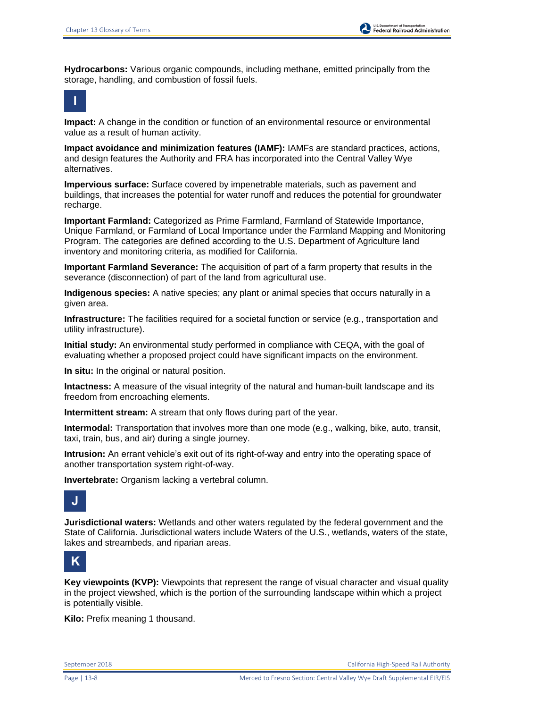**Hydrocarbons:** Various organic compounds, including methane, emitted principally from the storage, handling, and combustion of fossil fuels.

$$
\left\vert \mathbf{1}\right\vert
$$

**Impact:** A change in the condition or function of an environmental resource or environmental value as a result of human activity.

**Impact avoidance and minimization features (IAMF):** IAMFs are standard practices, actions, and design features the Authority and FRA has incorporated into the Central Valley Wye alternatives.

**Impervious surface:** Surface covered by impenetrable materials, such as pavement and buildings, that increases the potential for water runoff and reduces the potential for groundwater recharge.

**Important Farmland:** Categorized as Prime Farmland, Farmland of Statewide Importance, Unique Farmland, or Farmland of Local Importance under the Farmland Mapping and Monitoring Program. The categories are defined according to the U.S. Department of Agriculture land inventory and monitoring criteria, as modified for California.

**Important Farmland Severance:** The acquisition of part of a farm property that results in the severance (disconnection) of part of the land from agricultural use.

**Indigenous species:** A native species; any plant or animal species that occurs naturally in a given area.

**Infrastructure:** The facilities required for a societal function or service (e.g., transportation and utility infrastructure).

**Initial study:** An environmental study performed in compliance with CEQA, with the goal of evaluating whether a proposed project could have significant impacts on the environment.

**In situ:** In the original or natural position.

**Intactness:** A measure of the visual integrity of the natural and human-built landscape and its freedom from encroaching elements.

**Intermittent stream:** A stream that only flows during part of the year.

**Intermodal:** Transportation that involves more than one mode (e.g., walking, bike, auto, transit, taxi, train, bus, and air) during a single journey.

**Intrusion:** An errant vehicle's exit out of its right-of-way and entry into the operating space of another transportation system right-of-way.

**Invertebrate:** Organism lacking a vertebral column.



**Jurisdictional waters:** Wetlands and other waters regulated by the federal government and the State of California. Jurisdictional waters include Waters of the U.S., wetlands, waters of the state, lakes and streambeds, and riparian areas.



**Key viewpoints (KVP):** Viewpoints that represent the range of visual character and visual quality in the project viewshed, which is the portion of the surrounding landscape within which a project is potentially visible.

**Kilo:** Prefix meaning 1 thousand.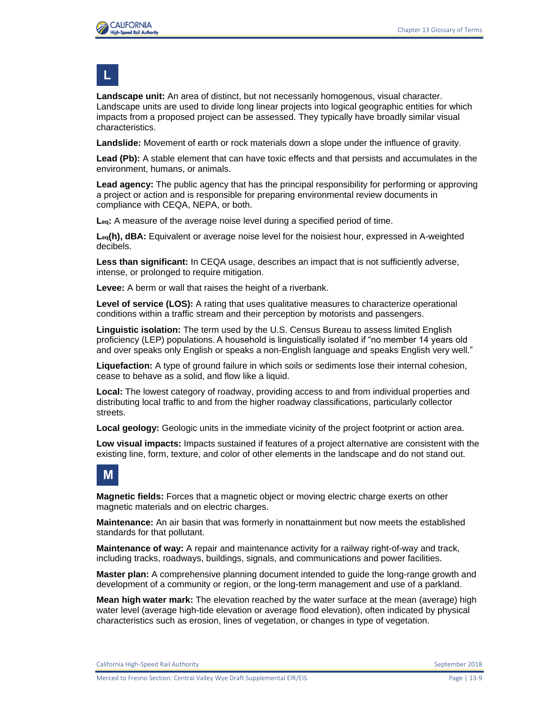

## **L**

**Landscape unit:** An area of distinct, but not necessarily homogenous, visual character. Landscape units are used to divide long linear projects into logical geographic entities for which impacts from a proposed project can be assessed. They typically have broadly similar visual characteristics.

**Landslide:** Movement of earth or rock materials down a slope under the influence of gravity.

**Lead (Pb):** A stable element that can have toxic effects and that persists and accumulates in the environment, humans, or animals.

**Lead agency:** The public agency that has the principal responsibility for performing or approving a project or action and is responsible for preparing environmental review documents in compliance with CEQA, NEPA, or both.

**Leq:** A measure of the average noise level during a specified period of time.

**Leq(h), dBA:** Equivalent or average noise level for the noisiest hour, expressed in A-weighted decibels.

**Less than significant:** In CEQA usage, describes an impact that is not sufficiently adverse, intense, or prolonged to require mitigation.

**Levee:** A berm or wall that raises the height of a riverbank.

**Level of service (LOS):** A rating that uses qualitative measures to characterize operational conditions within a traffic stream and their perception by motorists and passengers.

**Linguistic isolation:** The term used by the U.S. Census Bureau to assess limited English proficiency (LEP) populations. A household is linguistically isolated if "no member 14 years old and over speaks only English or speaks a non-English language and speaks English very well."

**Liquefaction:** A type of ground failure in which soils or sediments lose their internal cohesion, cease to behave as a solid, and flow like a liquid.

**Local:** The lowest category of roadway, providing access to and from individual properties and distributing local traffic to and from the higher roadway classifications, particularly collector streets.

**Local geology:** Geologic units in the immediate vicinity of the project footprint or action area.

**Low visual impacts:** Impacts sustained if features of a project alternative are consistent with the existing line, form, texture, and color of other elements in the landscape and do not stand out.



**Magnetic fields:** Forces that a magnetic object or moving electric charge exerts on other magnetic materials and on electric charges.

**Maintenance:** An air basin that was formerly in nonattainment but now meets the established standards for that pollutant.

**Maintenance of way:** A repair and maintenance activity for a railway right-of-way and track, including tracks, roadways, buildings, signals, and communications and power facilities.

**Master plan:** A comprehensive planning document intended to guide the long-range growth and development of a community or region, or the long-term management and use of a parkland.

**Mean high water mark:** The elevation reached by the water surface at the mean (average) high water level (average high-tide elevation or average flood elevation), often indicated by physical characteristics such as erosion, lines of vegetation, or changes in type of vegetation.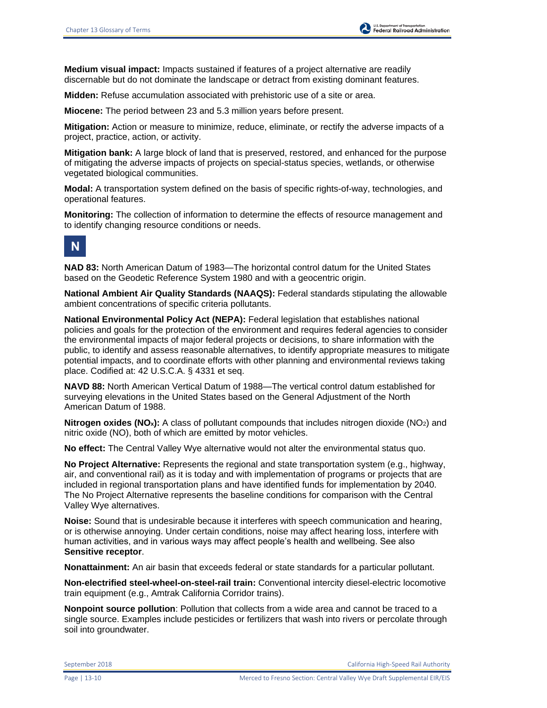**Medium visual impact:** Impacts sustained if features of a project alternative are readily discernable but do not dominate the landscape or detract from existing dominant features.

**Midden:** Refuse accumulation associated with prehistoric use of a site or area.

**Miocene:** The period between 23 and 5.3 million years before present.

**Mitigation:** Action or measure to minimize, reduce, eliminate, or rectify the adverse impacts of a project, practice, action, or activity.

**Mitigation bank:** A large block of land that is preserved, restored, and enhanced for the purpose of mitigating the adverse impacts of projects on special-status species, wetlands, or otherwise vegetated biological communities.

**Modal:** A transportation system defined on the basis of specific rights-of-way, technologies, and operational features.

**Monitoring:** The collection of information to determine the effects of resource management and to identify changing resource conditions or needs.



**NAD 83:** North American Datum of 1983—The horizontal control datum for the United States based on the Geodetic Reference System 1980 and with a geocentric origin.

**National Ambient Air Quality Standards (NAAQS):** Federal standards stipulating the allowable ambient concentrations of specific criteria pollutants.

**National Environmental Policy Act (NEPA):** Federal legislation that establishes national policies and goals for the protection of the environment and requires federal agencies to consider the environmental impacts of major federal projects or decisions, to share information with the public, to identify and assess reasonable alternatives, to identify appropriate measures to mitigate potential impacts, and to coordinate efforts with other planning and environmental reviews taking place. Codified at: 42 U.S.C.A. § 4331 et seq.

**NAVD 88:** North American Vertical Datum of 1988—The vertical control datum established for surveying elevations in the United States based on the General Adjustment of the North American Datum of 1988.

**Nitrogen oxides (NO<sub>x</sub>):** A class of pollutant compounds that includes nitrogen dioxide (NO<sub>2</sub>) and nitric oxide (NO), both of which are emitted by motor vehicles.

**No effect:** The Central Valley Wye alternative would not alter the environmental status quo.

**No Project Alternative:** Represents the regional and state transportation system (e.g., highway, air, and conventional rail) as it is today and with implementation of programs or projects that are included in regional transportation plans and have identified funds for implementation by 2040. The No Project Alternative represents the baseline conditions for comparison with the Central Valley Wye alternatives.

**Noise:** Sound that is undesirable because it interferes with speech communication and hearing, or is otherwise annoying. Under certain conditions, noise may affect hearing loss, interfere with human activities, and in various ways may affect people's health and wellbeing. See also **Sensitive receptor**.

**Nonattainment:** An air basin that exceeds federal or state standards for a particular pollutant.

**Non-electrified steel-wheel-on-steel-rail train:** Conventional intercity diesel-electric locomotive train equipment (e.g., Amtrak California Corridor trains).

**Nonpoint source pollution**: Pollution that collects from a wide area and cannot be traced to a single source. Examples include pesticides or fertilizers that wash into rivers or percolate through soil into groundwater.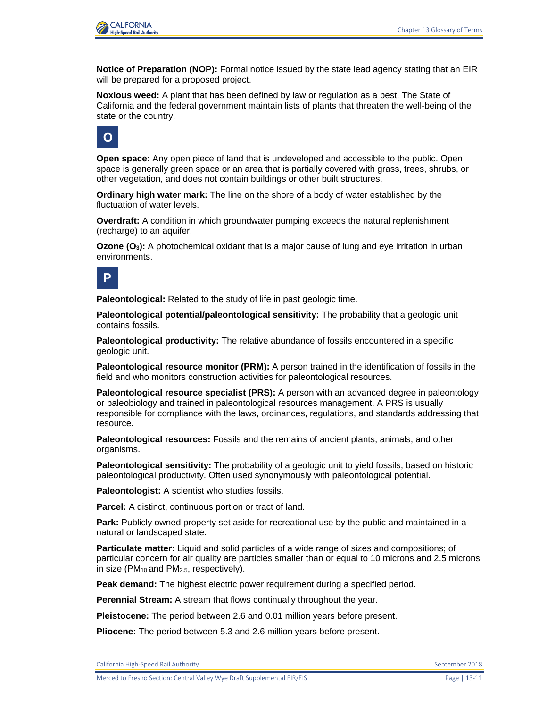

**Notice of Preparation (NOP):** Formal notice issued by the state lead agency stating that an EIR will be prepared for a proposed project.

**Noxious weed:** A plant that has been defined by law or regulation as a pest. The State of California and the federal government maintain lists of plants that threaten the well-being of the state or the country.



**Open space:** Any open piece of land that is undeveloped and accessible to the public. Open space is generally green space or an area that is partially covered with grass, trees, shrubs, or other vegetation, and does not contain buildings or other built structures.

**Ordinary high water mark:** The line on the shore of a body of water established by the fluctuation of water levels.

**Overdraft:** A condition in which groundwater pumping exceeds the natural replenishment (recharge) to an aquifer.

**Ozone (O3):** A photochemical oxidant that is a major cause of lung and eye irritation in urban environments.



**Paleontological:** Related to the study of life in past geologic time.

**Paleontological potential/paleontological sensitivity:** The probability that a geologic unit contains fossils.

**Paleontological productivity:** The relative abundance of fossils encountered in a specific geologic unit.

**Paleontological resource monitor (PRM):** A person trained in the identification of fossils in the field and who monitors construction activities for paleontological resources.

**Paleontological resource specialist (PRS):** A person with an advanced degree in paleontology or paleobiology and trained in paleontological resources management. A PRS is usually responsible for compliance with the laws, ordinances, regulations, and standards addressing that resource.

**Paleontological resources:** Fossils and the remains of ancient plants, animals, and other organisms.

**Paleontological sensitivity:** The probability of a geologic unit to yield fossils, based on historic paleontological productivity. Often used synonymously with paleontological potential.

**Paleontologist:** A scientist who studies fossils.

**Parcel:** A distinct, continuous portion or tract of land.

**Park:** Publicly owned property set aside for recreational use by the public and maintained in a natural or landscaped state.

**Particulate matter:** Liquid and solid particles of a wide range of sizes and compositions; of particular concern for air quality are particles smaller than or equal to 10 microns and 2.5 microns in size ( $PM_{10}$  and  $PM_{2.5}$ , respectively).

**Peak demand:** The highest electric power requirement during a specified period.

**Perennial Stream:** A stream that flows continually throughout the year.

**Pleistocene:** The period between 2.6 and 0.01 million years before present.

**Pliocene:** The period between 5.3 and 2.6 million years before present.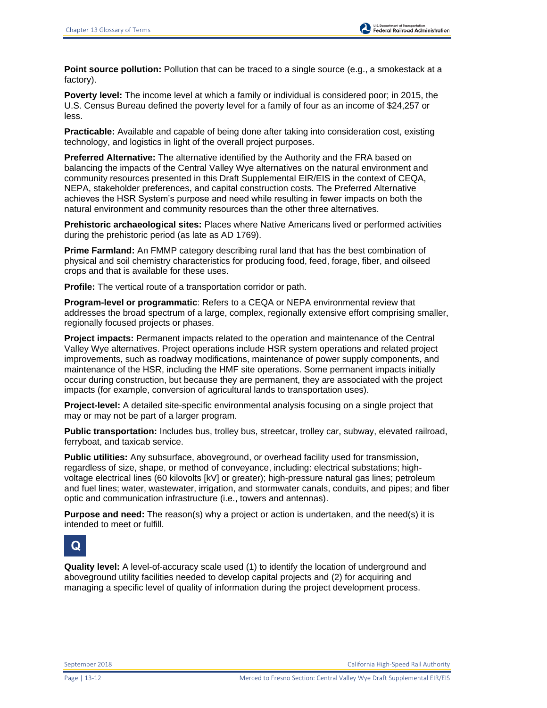**Point source pollution:** Pollution that can be traced to a single source (e.g., a smokestack at a factory).

**Poverty level:** The income level at which a family or individual is considered poor; in 2015, the U.S. Census Bureau defined the poverty level for a family of four as an income of \$24,257 or less.

**Practicable:** Available and capable of being done after taking into consideration cost, existing technology, and logistics in light of the overall project purposes.

**Preferred Alternative:** The alternative identified by the Authority and the FRA based on balancing the impacts of the Central Valley Wye alternatives on the natural environment and community resources presented in this Draft Supplemental EIR/EIS in the context of CEQA, NEPA, stakeholder preferences, and capital construction costs. The Preferred Alternative achieves the HSR System's purpose and need while resulting in fewer impacts on both the natural environment and community resources than the other three alternatives.

**Prehistoric archaeological sites:** Places where Native Americans lived or performed activities during the prehistoric period (as late as AD 1769).

**Prime Farmland:** An FMMP category describing rural land that has the best combination of physical and soil chemistry characteristics for producing food, feed, forage, fiber, and oilseed crops and that is available for these uses.

**Profile:** The vertical route of a transportation corridor or path.

**Program-level or programmatic**: Refers to a CEQA or NEPA environmental review that addresses the broad spectrum of a large, complex, regionally extensive effort comprising smaller, regionally focused projects or phases.

**Project impacts:** Permanent impacts related to the operation and maintenance of the Central Valley Wye alternatives. Project operations include HSR system operations and related project improvements, such as roadway modifications, maintenance of power supply components, and maintenance of the HSR, including the HMF site operations. Some permanent impacts initially occur during construction, but because they are permanent, they are associated with the project impacts (for example, conversion of agricultural lands to transportation uses).

**Project-level:** A detailed site-specific environmental analysis focusing on a single project that may or may not be part of a larger program.

**Public transportation:** Includes bus, trolley bus, streetcar, trolley car, subway, elevated railroad, ferryboat, and taxicab service.

**Public utilities:** Any subsurface, aboveground, or overhead facility used for transmission, regardless of size, shape, or method of conveyance, including: electrical substations; highvoltage electrical lines (60 kilovolts [kV] or greater); high-pressure natural gas lines; petroleum and fuel lines; water, wastewater, irrigation, and stormwater canals, conduits, and pipes; and fiber optic and communication infrastructure (i.e., towers and antennas).

**Purpose and need:** The reason(s) why a project or action is undertaken, and the need(s) it is intended to meet or fulfill.



**Quality level:** A level-of-accuracy scale used (1) to identify the location of underground and aboveground utility facilities needed to develop capital projects and (2) for acquiring and managing a specific level of quality of information during the project development process.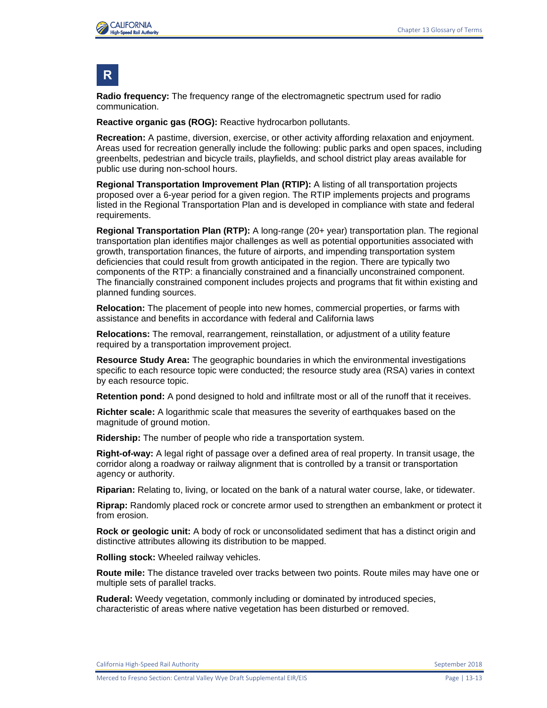

### **R**

**Radio frequency:** The frequency range of the electromagnetic spectrum used for radio communication.

**Reactive organic gas (ROG):** Reactive hydrocarbon pollutants.

**Recreation:** A pastime, diversion, exercise, or other activity affording relaxation and enjoyment. Areas used for recreation generally include the following: public parks and open spaces, including greenbelts, pedestrian and bicycle trails, playfields, and school district play areas available for public use during non-school hours.

**Regional Transportation Improvement Plan (RTIP):** A listing of all transportation projects proposed over a 6-year period for a given region. The RTIP implements projects and programs listed in the Regional Transportation Plan and is developed in compliance with state and federal requirements.

**Regional Transportation Plan (RTP):** A long-range (20+ year) transportation plan. The regional transportation plan identifies major challenges as well as potential opportunities associated with growth, transportation finances, the future of airports, and impending transportation system deficiencies that could result from growth anticipated in the region. There are typically two components of the RTP: a financially constrained and a financially unconstrained component. The financially constrained component includes projects and programs that fit within existing and planned funding sources.

**Relocation:** The placement of people into new homes, commercial properties, or farms with assistance and benefits in accordance with federal and California laws

**Relocations:** The removal, rearrangement, reinstallation, or adjustment of a utility feature required by a transportation improvement project.

**Resource Study Area:** The geographic boundaries in which the environmental investigations specific to each resource topic were conducted; the resource study area (RSA) varies in context by each resource topic.

**Retention pond:** A pond designed to hold and infiltrate most or all of the runoff that it receives.

**Richter scale:** A logarithmic scale that measures the severity of earthquakes based on the magnitude of ground motion.

**Ridership:** The number of people who ride a transportation system.

**Right-of-way:** A legal right of passage over a defined area of real property. In transit usage, the corridor along a roadway or railway alignment that is controlled by a transit or transportation agency or authority.

**Riparian:** Relating to, living, or located on the bank of a natural water course, lake, or tidewater.

**Riprap:** Randomly placed rock or concrete armor used to strengthen an embankment or protect it from erosion.

**Rock or geologic unit:** A body of rock or unconsolidated sediment that has a distinct origin and distinctive attributes allowing its distribution to be mapped.

**Rolling stock:** Wheeled railway vehicles.

**Route mile:** The distance traveled over tracks between two points. Route miles may have one or multiple sets of parallel tracks.

**Ruderal:** Weedy vegetation, commonly including or dominated by introduced species, characteristic of areas where native vegetation has been disturbed or removed.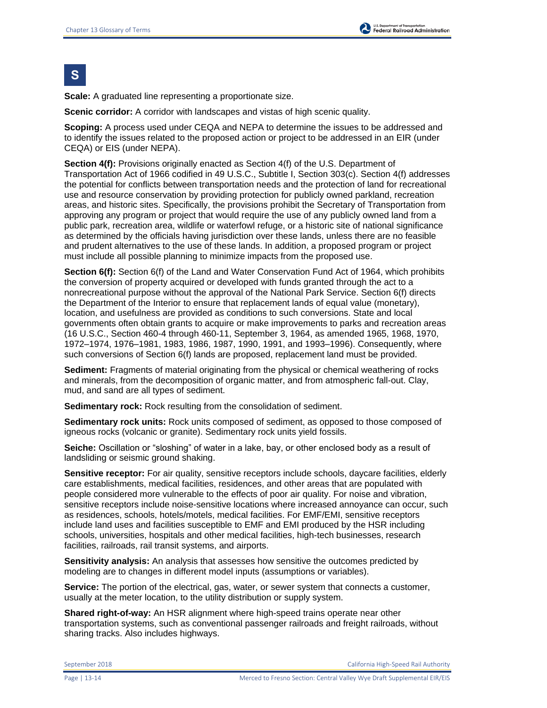# **S**

**Scale:** A graduated line representing a proportionate size.

**Scenic corridor:** A corridor with landscapes and vistas of high scenic quality.

**Scoping:** A process used under CEQA and NEPA to determine the issues to be addressed and to identify the issues related to the proposed action or project to be addressed in an EIR (under CEQA) or EIS (under NEPA).

**Section 4(f):** Provisions originally enacted as Section 4(f) of the U.S. Department of Transportation Act of 1966 codified in 49 U.S.C., Subtitle I, Section 303(c). Section 4(f) addresses the potential for conflicts between transportation needs and the protection of land for recreational use and resource conservation by providing protection for publicly owned parkland, recreation areas, and historic sites. Specifically, the provisions prohibit the Secretary of Transportation from approving any program or project that would require the use of any publicly owned land from a public park, recreation area, wildlife or waterfowl refuge, or a historic site of national significance as determined by the officials having jurisdiction over these lands, unless there are no feasible and prudent alternatives to the use of these lands. In addition, a proposed program or project must include all possible planning to minimize impacts from the proposed use.

**Section 6(f):** Section 6(f) of the Land and Water Conservation Fund Act of 1964, which prohibits the conversion of property acquired or developed with funds granted through the act to a nonrecreational purpose without the approval of the National Park Service. Section 6(f) directs the Department of the Interior to ensure that replacement lands of equal value (monetary), location, and usefulness are provided as conditions to such conversions. State and local governments often obtain grants to acquire or make improvements to parks and recreation areas (16 U.S.C., Section 460-4 through 460-11, September 3, 1964, as amended 1965, 1968, 1970, 1972–1974, 1976–1981, 1983, 1986, 1987, 1990, 1991, and 1993–1996). Consequently, where such conversions of Section 6(f) lands are proposed, replacement land must be provided.

**Sediment:** Fragments of material originating from the physical or chemical weathering of rocks and minerals, from the decomposition of organic matter, and from atmospheric fall-out. Clay, mud, and sand are all types of sediment.

**Sedimentary rock:** Rock resulting from the consolidation of sediment.

**Sedimentary rock units:** Rock units composed of sediment, as opposed to those composed of igneous rocks (volcanic or granite). Sedimentary rock units yield fossils.

**Seiche:** Oscillation or "sloshing" of water in a lake, bay, or other enclosed body as a result of landsliding or seismic ground shaking.

**Sensitive receptor:** For air quality, sensitive receptors include schools, daycare facilities, elderly care establishments, medical facilities, residences, and other areas that are populated with people considered more vulnerable to the effects of poor air quality. For noise and vibration, sensitive receptors include noise-sensitive locations where increased annoyance can occur, such as residences, schools, hotels/motels, medical facilities. For EMF/EMI, sensitive receptors include land uses and facilities susceptible to EMF and EMI produced by the HSR including schools, universities, hospitals and other medical facilities, high-tech businesses, research facilities, railroads, rail transit systems, and airports.

**Sensitivity analysis:** An analysis that assesses how sensitive the outcomes predicted by modeling are to changes in different model inputs (assumptions or variables).

**Service:** The portion of the electrical, gas, water, or sewer system that connects a customer, usually at the meter location, to the utility distribution or supply system.

**Shared right-of-way:** An HSR alignment where high-speed trains operate near other transportation systems, such as conventional passenger railroads and freight railroads, without sharing tracks. Also includes highways.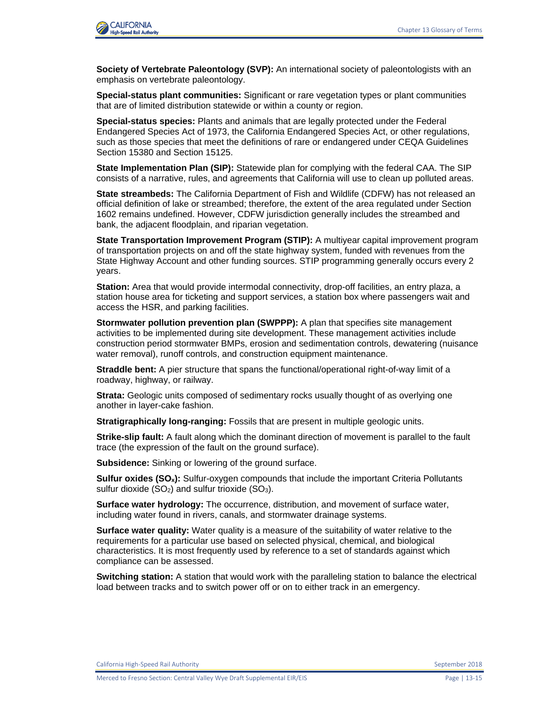

**Society of Vertebrate Paleontology (SVP):** An international society of paleontologists with an emphasis on vertebrate paleontology.

**Special-status plant communities:** Significant or rare vegetation types or plant communities that are of limited distribution statewide or within a county or region.

**Special-status species:** Plants and animals that are legally protected under the Federal Endangered Species Act of 1973, the California Endangered Species Act, or other regulations, such as those species that meet the definitions of rare or endangered under CEQA Guidelines Section 15380 and Section 15125.

**State Implementation Plan (SIP):** Statewide plan for complying with the federal CAA. The SIP consists of a narrative, rules, and agreements that California will use to clean up polluted areas.

**State streambeds:** The California Department of Fish and Wildlife (CDFW) has not released an official definition of lake or streambed; therefore, the extent of the area regulated under Section 1602 remains undefined. However, CDFW jurisdiction generally includes the streambed and bank, the adjacent floodplain, and riparian vegetation.

**State Transportation Improvement Program (STIP):** A multiyear capital improvement program of transportation projects on and off the state highway system, funded with revenues from the State Highway Account and other funding sources. STIP programming generally occurs every 2 years.

**Station:** Area that would provide intermodal connectivity, drop-off facilities, an entry plaza, a station house area for ticketing and support services, a station box where passengers wait and access the HSR, and parking facilities.

**Stormwater pollution prevention plan (SWPPP):** A plan that specifies site management activities to be implemented during site development. These management activities include construction period stormwater BMPs, erosion and sedimentation controls, dewatering (nuisance water removal), runoff controls, and construction equipment maintenance.

**Straddle bent:** A pier structure that spans the functional/operational right-of-way limit of a roadway, highway, or railway.

**Strata:** Geologic units composed of sedimentary rocks usually thought of as overlying one another in layer-cake fashion.

**Stratigraphically long-ranging:** Fossils that are present in multiple geologic units.

**Strike-slip fault:** A fault along which the dominant direction of movement is parallel to the fault trace (the expression of the fault on the ground surface).

**Subsidence:** Sinking or lowering of the ground surface.

**Sulfur oxides (SOx):** Sulfur-oxygen compounds that include the important Criteria Pollutants sulfur dioxide  $(SO_2)$  and sulfur trioxide  $(SO_3)$ .

**Surface water hydrology:** The occurrence, distribution, and movement of surface water, including water found in rivers, canals, and stormwater drainage systems.

**Surface water quality:** Water quality is a measure of the suitability of water relative to the requirements for a particular use based on selected physical, chemical, and biological characteristics. It is most frequently used by reference to a set of standards against which compliance can be assessed.

**Switching station:** A station that would work with the paralleling station to balance the electrical load between tracks and to switch power off or on to either track in an emergency.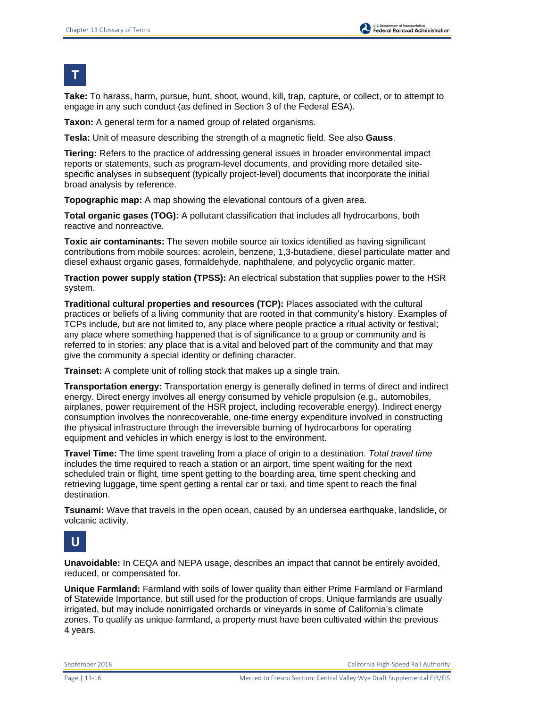**T**

**Take:** To harass, harm, pursue, hunt, shoot, wound, kill, trap, capture, or collect, or to attempt to engage in any such conduct (as defined in Section 3 of the Federal ESA).

**Taxon:** A general term for a named group of related organisms.

**Tesla:** Unit of measure describing the strength of a magnetic field. See also **Gauss**.

**Tiering:** Refers to the practice of addressing general issues in broader environmental impact reports or statements, such as program-level documents, and providing more detailed sitespecific analyses in subsequent (typically project-level) documents that incorporate the initial broad analysis by reference.

**Topographic map:** A map showing the elevational contours of a given area.

**Total organic gases (TOG):** A pollutant classification that includes all hydrocarbons, both reactive and nonreactive.

**Toxic air contaminants:** The seven mobile source air toxics identified as having significant contributions from mobile sources: acrolein, benzene, 1,3-butadiene, diesel particulate matter and diesel exhaust organic gases, formaldehyde, naphthalene, and polycyclic organic matter.

**Traction power supply station (TPSS):** An electrical substation that supplies power to the HSR system.

**Traditional cultural properties and resources (TCP):** Places associated with the cultural practices or beliefs of a living community that are rooted in that community's history. Examples of TCPs include, but are not limited to, any place where people practice a ritual activity or festival; any place where something happened that is of significance to a group or community and is referred to in stories; any place that is a vital and beloved part of the community and that may give the community a special identity or defining character.

**Trainset:** A complete unit of rolling stock that makes up a single train.

**Transportation energy:** Transportation energy is generally defined in terms of direct and indirect energy. Direct energy involves all energy consumed by vehicle propulsion (e.g., automobiles, airplanes, power requirement of the HSR project, including recoverable energy). Indirect energy consumption involves the nonrecoverable, one-time energy expenditure involved in constructing the physical infrastructure through the irreversible burning of hydrocarbons for operating equipment and vehicles in which energy is lost to the environment.

**Travel Time:** The time spent traveling from a place of origin to a destination. *Total travel time* includes the time required to reach a station or an airport, time spent waiting for the next scheduled train or flight, time spent getting to the boarding area, time spent checking and retrieving luggage, time spent getting a rental car or taxi, and time spent to reach the final destination.

**Tsunami:** Wave that travels in the open ocean, caused by an undersea earthquake, landslide, or volcanic activity.

## **U**

**Unavoidable:** In CEQA and NEPA usage, describes an impact that cannot be entirely avoided, reduced, or compensated for.

**Unique Farmland:** Farmland with soils of lower quality than either Prime Farmland or Farmland of Statewide Importance, but still used for the production of crops. Unique farmlands are usually irrigated, but may include nonirrigated orchards or vineyards in some of California's climate zones. To qualify as unique farmland, a property must have been cultivated within the previous 4 years.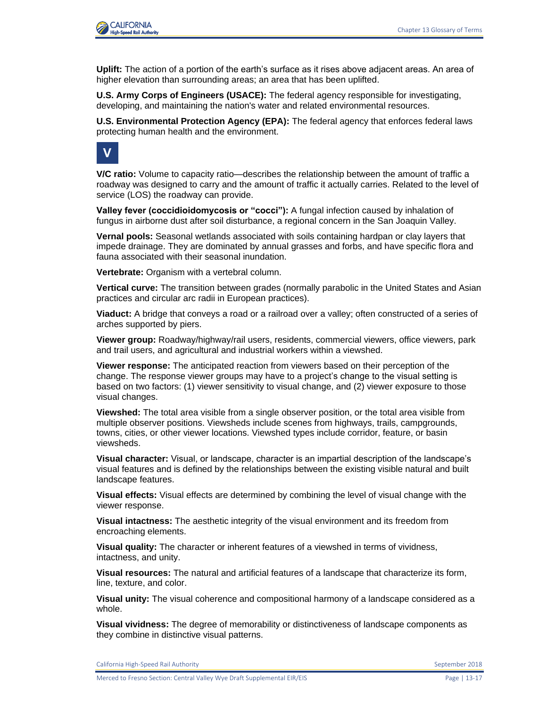

**Uplift:** The action of a portion of the earth's surface as it rises above adjacent areas. An area of higher elevation than surrounding areas; an area that has been uplifted.

**U.S. Army Corps of Engineers (USACE):** The federal agency responsible for investigating, developing, and maintaining the nation's water and related environmental resources.

**U.S. Environmental Protection Agency (EPA):** The federal agency that enforces federal laws protecting human health and the environment.



**V/C ratio:** Volume to capacity ratio—describes the relationship between the amount of traffic a roadway was designed to carry and the amount of traffic it actually carries. Related to the level of service (LOS) the roadway can provide.

**Valley fever (coccidioidomycosis or "cocci"):** A fungal infection caused by inhalation of fungus in airborne dust after soil disturbance, a regional concern in the San Joaquin Valley.

**Vernal pools:** Seasonal wetlands associated with soils containing hardpan or clay layers that impede drainage. They are dominated by annual grasses and forbs, and have specific flora and fauna associated with their seasonal inundation.

**Vertebrate:** Organism with a vertebral column.

**Vertical curve:** The transition between grades (normally parabolic in the United States and Asian practices and circular arc radii in European practices).

**Viaduct:** A bridge that conveys a road or a railroad over a valley; often constructed of a series of arches supported by piers.

**Viewer group:** Roadway/highway/rail users, residents, commercial viewers, office viewers, park and trail users, and agricultural and industrial workers within a viewshed.

**Viewer response:** The anticipated reaction from viewers based on their perception of the change. The response viewer groups may have to a project's change to the visual setting is based on two factors: (1) viewer sensitivity to visual change, and (2) viewer exposure to those visual changes.

**Viewshed:** The total area visible from a single observer position, or the total area visible from multiple observer positions. Viewsheds include scenes from highways, trails, campgrounds, towns, cities, or other viewer locations. Viewshed types include corridor, feature, or basin viewsheds.

**Visual character:** Visual, or landscape, character is an impartial description of the landscape's visual features and is defined by the relationships between the existing visible natural and built landscape features.

**Visual effects:** Visual effects are determined by combining the level of visual change with the viewer response.

**Visual intactness:** The aesthetic integrity of the visual environment and its freedom from encroaching elements.

**Visual quality:** The character or inherent features of a viewshed in terms of vividness, intactness, and unity.

**Visual resources:** The natural and artificial features of a landscape that characterize its form, line, texture, and color.

**Visual unity:** The visual coherence and compositional harmony of a landscape considered as a whole.

**Visual vividness:** The degree of memorability or distinctiveness of landscape components as they combine in distinctive visual patterns.